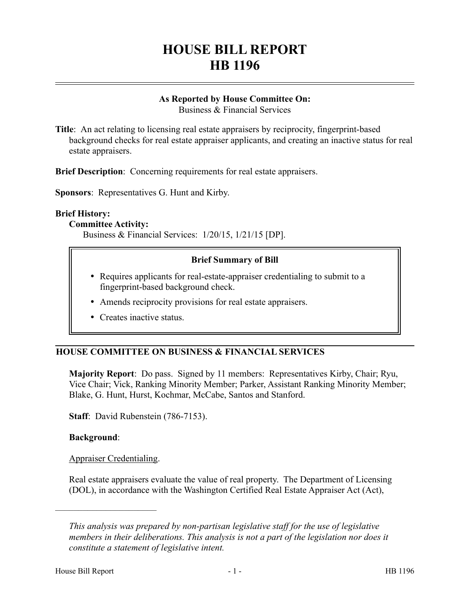# **HOUSE BILL REPORT HB 1196**

## **As Reported by House Committee On:**

Business & Financial Services

**Title**: An act relating to licensing real estate appraisers by reciprocity, fingerprint-based background checks for real estate appraiser applicants, and creating an inactive status for real estate appraisers.

**Brief Description**: Concerning requirements for real estate appraisers.

**Sponsors**: Representatives G. Hunt and Kirby.

#### **Brief History:**

#### **Committee Activity:**

Business & Financial Services: 1/20/15, 1/21/15 [DP].

#### **Brief Summary of Bill**

- Requires applicants for real-estate-appraiser credentialing to submit to a fingerprint-based background check.
- Amends reciprocity provisions for real estate appraisers.
- Creates inactive status.

### **HOUSE COMMITTEE ON BUSINESS & FINANCIAL SERVICES**

**Majority Report**: Do pass. Signed by 11 members: Representatives Kirby, Chair; Ryu, Vice Chair; Vick, Ranking Minority Member; Parker, Assistant Ranking Minority Member; Blake, G. Hunt, Hurst, Kochmar, McCabe, Santos and Stanford.

**Staff**: David Rubenstein (786-7153).

#### **Background**:

Appraiser Credentialing.

––––––––––––––––––––––

Real estate appraisers evaluate the value of real property. The Department of Licensing (DOL), in accordance with the Washington Certified Real Estate Appraiser Act (Act),

*This analysis was prepared by non-partisan legislative staff for the use of legislative members in their deliberations. This analysis is not a part of the legislation nor does it constitute a statement of legislative intent.*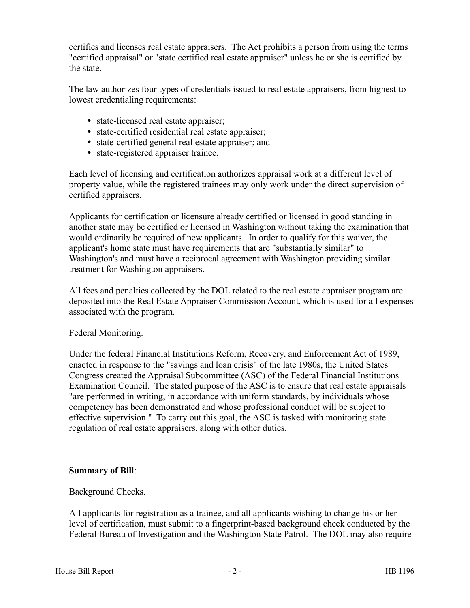certifies and licenses real estate appraisers. The Act prohibits a person from using the terms "certified appraisal" or "state certified real estate appraiser" unless he or she is certified by the state.

The law authorizes four types of credentials issued to real estate appraisers, from highest-tolowest credentialing requirements:

- state-licensed real estate appraiser;
- state-certified residential real estate appraiser;
- state-certified general real estate appraiser; and
- state-registered appraiser trainee.

Each level of licensing and certification authorizes appraisal work at a different level of property value, while the registered trainees may only work under the direct supervision of certified appraisers.

Applicants for certification or licensure already certified or licensed in good standing in another state may be certified or licensed in Washington without taking the examination that would ordinarily be required of new applicants. In order to qualify for this waiver, the applicant's home state must have requirements that are "substantially similar" to Washington's and must have a reciprocal agreement with Washington providing similar treatment for Washington appraisers.

All fees and penalties collected by the DOL related to the real estate appraiser program are deposited into the Real Estate Appraiser Commission Account, which is used for all expenses associated with the program.

#### Federal Monitoring.

Under the federal Financial Institutions Reform, Recovery, and Enforcement Act of 1989, enacted in response to the "savings and loan crisis" of the late 1980s, the United States Congress created the Appraisal Subcommittee (ASC) of the Federal Financial Institutions Examination Council. The stated purpose of the ASC is to ensure that real estate appraisals "are performed in writing, in accordance with uniform standards, by individuals whose competency has been demonstrated and whose professional conduct will be subject to effective supervision." To carry out this goal, the ASC is tasked with monitoring state regulation of real estate appraisers, along with other duties.

–––––––––––––––––––––––––––––––––

#### **Summary of Bill**:

#### Background Checks.

All applicants for registration as a trainee, and all applicants wishing to change his or her level of certification, must submit to a fingerprint-based background check conducted by the Federal Bureau of Investigation and the Washington State Patrol. The DOL may also require